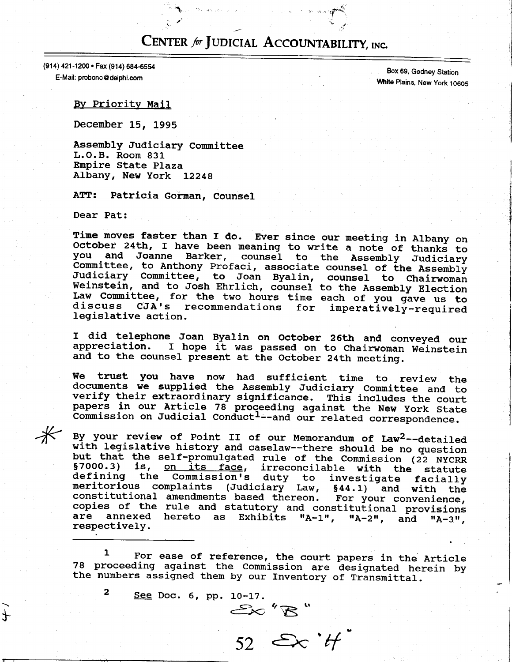## CENTER for JUDICIAL ACCOUNTABILITY, INC.

the last over y

(914) 421-1200 · Fax (914) 684-6554 E-Mail: probono@delphi.com

Box 69, Gedney Station White Plains, New York 10605

<u>By Priority Mail</u>

December 15, 1995

Assembly Judiciary Committee L.O.B. Room 831 Empire State Plaza Albany, New York 12248

ATT: Patricia Gorman, Counsel

Dear Pat:

 $\mathbf{2}$ 

 $\ddot{+}$ 

Time moves faster than I do. Ever since our meeting in Albany on October 24th, I have been meaning to write a note of thanks to you and Joanne Barker, counsel to the Assembly Judiciary Committee, to Anthony Profaci, associate counsel of the Assembly Judiciary Committee, to Joan Byalin, counsel to Chairwoman<br>Weinstein, and to Josh Ehrlich, counsel to the Assembly Election Law Committee, for the two hours time each of you gave us to discuss CJA's recommendations for imperatively-required legislative action.

I did telephone Joan Byalin on October 26th and conveyed our I hope it was passed on to Chairwoman Weinstein appreciation. and to the counsel present at the October 24th meeting.

We trust you have now had sufficient time to review the documents we supplied the Assembly Judiciary Committee and to<br>verify their extraordinary significance. This includes the court papers in our Article 78 proceeding against the New York State Commission on Judicial Conduct<sup>1</sup>--and our related correspondence.

By your review of Point II of our Memorandum of Law<sup>2</sup>--detailed with legislative history and caselaw--there should be no question but that the self-promulgated rule of the Commission (22 NYCRR §7000.3) is, on its face, irreconcilable with the statute defining the Commission's duty to investigate facially meritorious complaints (Judiciary Law, §44.1) and with the constitutional amendments based thereon. For your convenience, copies of the rule and statutory and constitutional provisions are annexed hereto as Exhibits "A-1", "A-2", and "A-3", respectively.

1 For ease of reference, the court papers in the Article 78 proceeding against the Commission are designated herein by the numbers assigned them by our Inventory of Transmittal.

> See Doc. 6, pp. 10-17.  $\Rightarrow$  "B"<br>52  $\Rightarrow$  'H"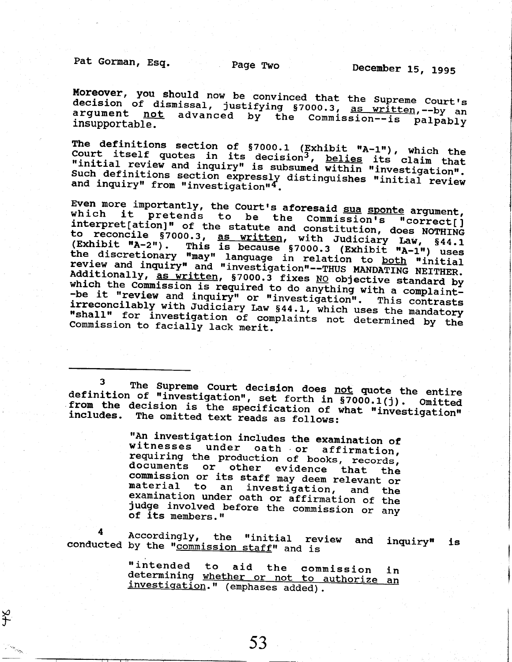Pat Gorman, Esq.

Š

Moreover, you should now be convinced that the Supreme Court's decision of dismissal, justifying §7000.3, as written, --by an arqument not advanced by the Commission--is palpably insupportable.

The definitions section of  $$7000.1$  (Exhibit "A-1"), which the court itself quotes in its decision<sup>3</sup>, belies its claim that<br>"initial review and inquiry" is subsumed within "investigation". Such definitions section expressly distinguishes "initial review and inquiry" from "investigation"4.

Even more importantly, the Court's aforesaid sua sponte argument, it pretends to be the Commission's "correct[] interpret[ation]" of the statute and constitution, does NOTHING to reconcile §7000.3, as written, with Judiciary Law, §44.1<br>(Exhibit "A-2"). This is because §7000.3 (Exhibit "A-1") uses the discretionary "may" language in relation to both "initial review and inquiry" and "investigation"--THUS MANDATING NEITHER. Additionally, as written, §7000.3 fixes NO objective standard by which the Commission is required to do anything with a complaint--be it "review and inquiry" or "investigation". This contrasts irreconcilably with Judiciary Law §44.1, which uses the mandatory "shall" for investigation of complaints not determined by the Commission to facially lack merit.

The Supreme Court decision does not quote the entire definition of "investigation", set forth in §7000.1(j). Omitted from the decision is the specification of what "investigation" The omitted text reads as follows: includes.

> "An investigation includes the examination of witnesses under oath or affirmation, requiring the production of books, records, documents or other evidence that the commission or its staff may deem relevant or material to an investigation, and the examination under oath or affirmation of the judge involved before the commission or any of its members."

Accordingly, the "initial review and inquiry" conducted by the "*commission staff*" and is is

> "intended to aid the commission determining whether or not to authorize an in investigation." (emphases added).

> > 53